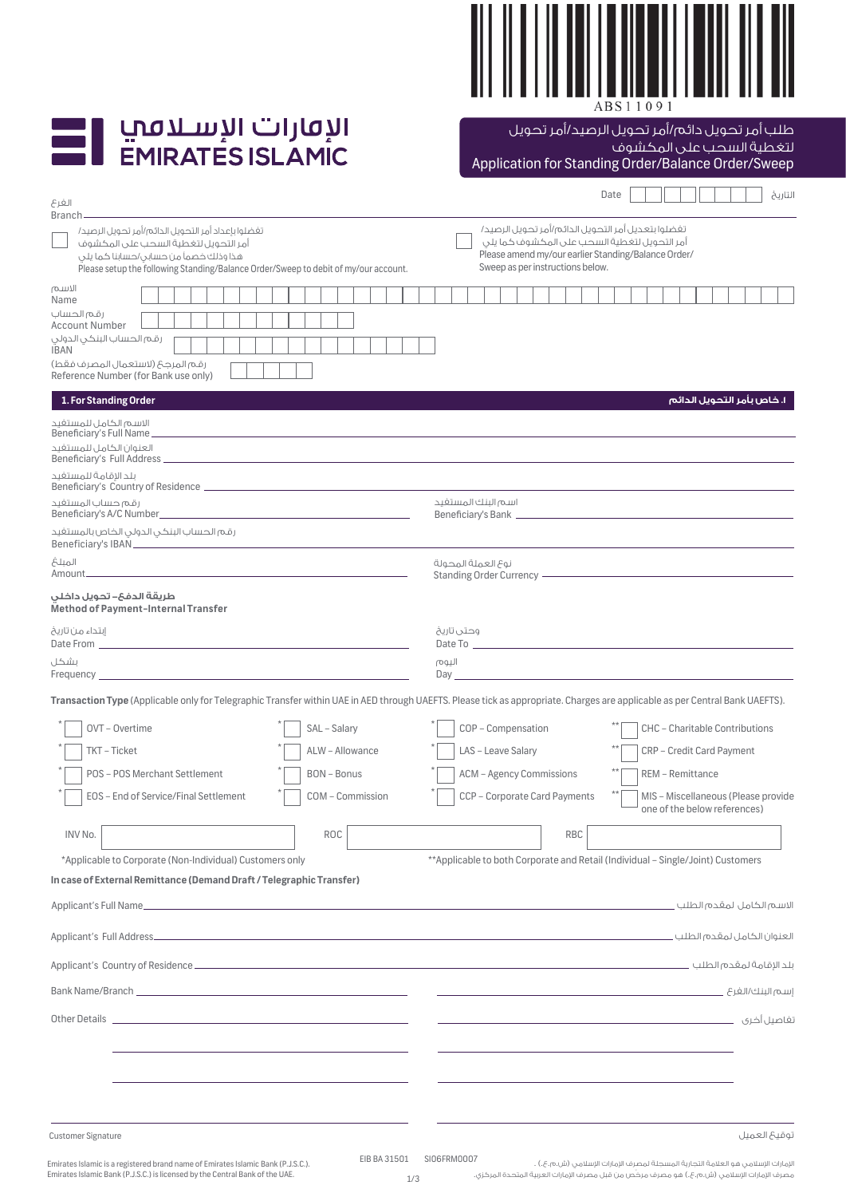

| الإقارات الإسلافي       |
|-------------------------|
| <b>EMIRATES ISLAMIC</b> |

Application for Standing Order/Balance Order/Sweep طلب أمر تحويل دائم/أمر تحويل الرصيد/أمر تحويل لتغطية السحب على المكشوف

| الفرع                                                                                                                                                                                                                                                                                                                                                                                                                                                                                                                                                                       | التاريخ<br>Date                                                                                                                                                                                                                                                        |  |  |  |  |  |  |
|-----------------------------------------------------------------------------------------------------------------------------------------------------------------------------------------------------------------------------------------------------------------------------------------------------------------------------------------------------------------------------------------------------------------------------------------------------------------------------------------------------------------------------------------------------------------------------|------------------------------------------------------------------------------------------------------------------------------------------------------------------------------------------------------------------------------------------------------------------------|--|--|--|--|--|--|
| Branch-<br>تغضلوا بإعداد أمر التحويل الدائم/أمر تحويل الرصيد/<br>أمر التحويل لتغطية السحب على المكشوف<br>هذا وذلك خصماً من حسابى/حسابنا كما يلى<br>Please setup the following Standing/Balance Order/Sweep to debit of my/our account.                                                                                                                                                                                                                                                                                                                                      | تغضلوا بتعديل أمر التحويل الدائم/أمر تحويل الرصيد/<br>أمر التحويل لتغطية السحب على المكشوف كما يلى<br>Please amend my/our earlier Standing/Balance Order/<br>Sweep as per instructions below.                                                                          |  |  |  |  |  |  |
| الاسم<br>Name<br>رقم الحساب<br><b>Account Number</b><br>رقم الحساب البنكى الدولى<br><b>IBAN</b><br>رقم المرجح (لاستعمال المصرف فقط)<br>Reference Number (for Bank use only)                                                                                                                                                                                                                                                                                                                                                                                                 |                                                                                                                                                                                                                                                                        |  |  |  |  |  |  |
| 1. For Standing Order<br>الاسم الكامل للمستغيد<br>Beneficiary's Full Name.<br>العنوان الكامل للمستغيد<br>ىلد الاقامة للمستفىد<br>رقم حساب المستفيد                                                                                                                                                                                                                                                                                                                                                                                                                          | I. خاص بأمر التحويل الدائم<br>اسم البنك المستفيد                                                                                                                                                                                                                       |  |  |  |  |  |  |
| رقم الحساب البنكى الدولى الخاص بالمستغيد<br>المبلغ                                                                                                                                                                                                                                                                                                                                                                                                                                                                                                                          | نوع العملة المحولة<br>Standing Order Currency - The Commission of the Commission of the Commission of the Commission of the Commission                                                                                                                                 |  |  |  |  |  |  |
| طريقة الدف&– تحويل داخلى<br><b>Method of Payment-Internal Transfer</b><br>إبتداء من تاريخ<br>Date From Part of the Contract of the Contract of the Contract of the Contract of the Contract of the Contract of the Contract of the Contract of the Contract of the Contract of the Contract of the Contract of the Contract<br>بشكل<br>Frequency <b>Exercise Contract Contract Contract Contract Contract Contract Contract Contract Contract Contract Contract Contract Contract Contract Contract Contract Contract Contract Contract Contract Contract Contract Cont</b> | وحتى تاريخ<br>Date To <b>contract the contract of the Contract of the Contract of the Contract of the Contract of the Contract of the Contract of the Contract of the Contract of the Contract of the Contract of the Contract of the Contract</b><br>اليوم            |  |  |  |  |  |  |
| Transaction Type (Applicable only for Telegraphic Transfer within UAE in AED through UAEFTS. Please tick as appropriate. Charges are applicable as per Central Bank UAEFTS).<br>OVT - Overtime<br>SAL - Salary<br>TKT - Ticket<br>ALW - Allowance<br>POS - POS Merchant Settlement<br><b>BON-Bonus</b><br>EOS - End of Service/Final Settlement<br>COM - Commission                                                                                                                                                                                                         | COP - Compensation<br>CHC - Charitable Contributions<br>LAS - Leave Salary<br>CRP - Credit Card Payment<br><b>ACM - Agency Commissions</b><br>REM - Remittance<br>CCP - Corporate Card Payments<br>MIS - Miscellaneous (Please provide<br>one of the below references) |  |  |  |  |  |  |
| INV No.<br><b>ROC</b>                                                                                                                                                                                                                                                                                                                                                                                                                                                                                                                                                       | <b>RBC</b>                                                                                                                                                                                                                                                             |  |  |  |  |  |  |
| *Applicable to Corporate (Non-Individual) Customers only<br>In case of External Remittance (Demand Draft / Telegraphic Transfer)                                                                                                                                                                                                                                                                                                                                                                                                                                            | **Applicable to both Corporate and Retail (Individual - Single/Joint) Customers                                                                                                                                                                                        |  |  |  |  |  |  |
|                                                                                                                                                                                                                                                                                                                                                                                                                                                                                                                                                                             |                                                                                                                                                                                                                                                                        |  |  |  |  |  |  |
|                                                                                                                                                                                                                                                                                                                                                                                                                                                                                                                                                                             |                                                                                                                                                                                                                                                                        |  |  |  |  |  |  |
| Bank Name/Branch <b>Example 2018</b>                                                                                                                                                                                                                                                                                                                                                                                                                                                                                                                                        |                                                                                                                                                                                                                                                                        |  |  |  |  |  |  |
| Other Details and the contract of the contract of the contract of the contract of the contract of the contract of the contract of the contract of the contract of the contract of the contract of the contract of the contract                                                                                                                                                                                                                                                                                                                                              |                                                                                                                                                                                                                                                                        |  |  |  |  |  |  |
|                                                                                                                                                                                                                                                                                                                                                                                                                                                                                                                                                                             |                                                                                                                                                                                                                                                                        |  |  |  |  |  |  |

الإمارات الإسلامي هو العلامة التجارية المسجلة لمصرف الإمارات الإسلامي (ش.م.ع.) . مصرف الإمارات الإسلامي (ش.م.ع.) هو مصرف مرخّص من قبل مصرف الإمارات العربية المتحدة المركزي.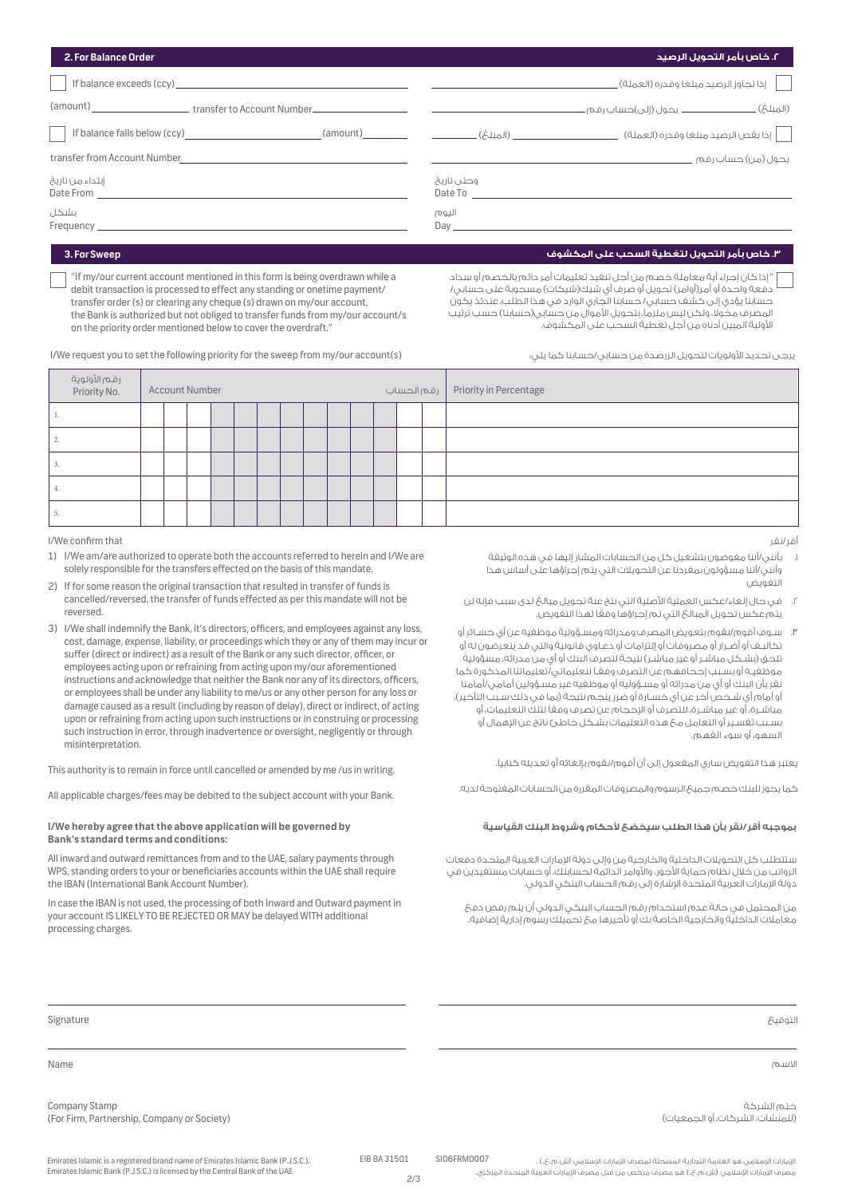| 2. For Balance Order                                                                                                                                                                                                                             | ٢. خاص بأمر التحويل الرصيد                                                                                                                                                                                                              |  |  |  |
|--------------------------------------------------------------------------------------------------------------------------------------------------------------------------------------------------------------------------------------------------|-----------------------------------------------------------------------------------------------------------------------------------------------------------------------------------------------------------------------------------------|--|--|--|
| If balance exceeds (ccy) and the state of the state of the state of the state of the state of the state of the state of the state of the state of the state of the state of the state of the state of the state of the state o                   | إذا تجاوز الرصيد مبلغا وقدره (العملة) _                                                                                                                                                                                                 |  |  |  |
| (amount) ________________________transfer to Account Number______________________                                                                                                                                                                |                                                                                                                                                                                                                                         |  |  |  |
| If balance falls below (ccy) and the control of the control of the control of the control of the control of the control of the control of the control of the control of the control of the control of the control of the contr                   |                                                                                                                                                                                                                                         |  |  |  |
| transfer from Account Number<br><u> 1980 - Jan Stein Stein Stein Stein Stein Stein Stein Stein Stein Stein Stein Stein Stein Stein Stein Stein S</u>                                                                                             | یحول (من) حساب رقم                                                                                                                                                                                                                      |  |  |  |
| إبتداء من تاريخ<br>Date From the contract of the contract of the contract of the contract of the contract of the contract of the contract of the contract of the contract of the contract of the contract of the contract of the contract of the | وحتی تاریخ<br>Date To <u>_______________</u>                                                                                                                                                                                            |  |  |  |
| بشكل<br>Frequency                                                                                                                                                                                                                                | اليوم<br>Day and the contract of the contract of the contract of the contract of the contract of the contract of the contract of the contract of the contract of the contract of the contract of the contract of the contract of the co |  |  |  |

## **.٣ خاص بأمر التحويل لتغطية السحب على المكشوف Sweep For 3.**

"If my/our current account mentioned in this form is being overdrawn while a debit transaction is processed to effect any standing or onetime payment/ transfer order (s) or clearing any cheque (s) drawn on my/our account, the Bank is authorized but not obliged to transfer funds from my/our account/s on the priority order mentioned below to cover the overdraft."

" إذا كان إجراء أية معاملة خصم من أجل تنفيذ تعليمات أمر دائم بالخصم أو سداد دفعة واحدة أو أمر(أوامر) تحويل أو صرف أي شيك(شيكات) مسحوبة على حسابي/ حسابنا يؤدي إلى كشف حسابي/ حسابنا الجاري الوارد في هذا الطلب، عندئذ يكون المصرف مخولا، ولكن ليس ملزماً، بتحويل الأموال من حسابي(حسابنا) حسب ترتيب اµولية المبين أدناه من أجل تغطية السحب على المكشوف.

I/We request you to set the following priority for the sweep from my/our account(s)

يرجى تحديد الأولويات لتحويل الزرصدة من حسابي/حسابنا كما يلي:

|    | رقـم الأولوية<br>Priority No. | <b>Account Number</b> |  |  |  |  |  |  |  |  |  |  |  | Priority in Percentage   رقم الحساب |
|----|-------------------------------|-----------------------|--|--|--|--|--|--|--|--|--|--|--|-------------------------------------|
|    |                               |                       |  |  |  |  |  |  |  |  |  |  |  |                                     |
|    |                               |                       |  |  |  |  |  |  |  |  |  |  |  |                                     |
| ٠. |                               |                       |  |  |  |  |  |  |  |  |  |  |  |                                     |
| ٠, |                               |                       |  |  |  |  |  |  |  |  |  |  |  |                                     |
|    |                               |                       |  |  |  |  |  |  |  |  |  |  |  |                                     |

I/We confirm that

- 1) I/We am/are authorized to operate both the accounts referred to herein and I/We are solely responsible for the transfers effected on the basis of this mandate.
- 2) If for some reason the original transaction that resulted in transfer of funds is cancelled/reversed, the transfer of funds effected as per this mandate will not be reversed.
- 3) I/We shall indemnify the Bank, it's directors, officers, and employees against any loss, cost, damage, expense, liability, or proceedings which they or any of them may incur or suffer (direct or indirect) as a result of the Bank or any such director, officer, or employees acting upon or refraining from acting upon my/our aforementioned instructions and acknowledge that neither the Bank nor any of its directors, officers, or employees shall be under any liability to me/us or any other person for any loss or damage caused as a result (including by reason of delay), direct or indirect, of acting upon or refraining from acting upon such instructions or in construing or processing such instruction in error, through inadvertence or oversight, negligently or through misinterpretation.

This authority is to remain in force until cancelled or amended by me /us in writing.

All applicable charges/fees may be debited to the subject account with your Bank.

## **Bank's standard terms and conditions:**

All inward and outward remittances from and to the UAE, salary payments through WPS, standing orders to your or beneficiaries accounts within the UAE shall require the IBAN (International Bank Account Number).

In case the IBAN is not used, the processing of both Inward and Outward payment in your account IS LIKELY TO BE REJECTED OR MAY be delayed WITH additional processing charges.

أقر/نقر

- .١ بأنني/أننا مفوضون بتشغيل كل من الحسابات المشار إليها في هذه الوثيقة وأنني/أننا مسؤولون بمفردنا عن التحويلات التي يتم إجراؤها على أساس هذا التفويض
- .٢ في حال إلغاء/عكس العملية اµصلية التي نتج عنة تحويل مبالغ لدى سبب فإنه لن يتم عكس تحويل المبالغ التي تم إجراؤها وفق لهذا التفويض.
- .٣ سـوف أقوم/نقوم بتعويض المصرف ومدرائه ومسـؤولية موظفيه عن أي خسـائر أو تكاليـف أو أضـرار أو مصروفات أو إلتزامات أو دعـاوي قانونية والتي قد يتعرضون له أو تلحق (بشـكل مباشـر أو غير مباشـر) نتيجة لتصرف البنك أو أي من مدرائه، مسؤولية موظفيـه أو بسـبب إجحافهم عن التصرف وفقـ لتعليماتي/تعليماتنا المذكورة كما نقر بأن البنك أو أي من مدرائه أو مسـؤوليه أو موظفيه غير مسـؤولين أمامي/أمامنا أو أمام أي شـخص أخر عن أي خسـارة أو ضرر ينجم نتيجة (بما في ذلك سـبب التأخير)، مباشـرة، أَو غير مباشـرة، للتصرف أو الإحجام عن تصرف وفقاً لتلك التعليمات، أو بسـبب تغسـير أو التعامل مع هذه التعليمات بشـكل خاطئ ناتج عن الإهمال أو السهو، أو سوء الفهم.

يعتبر هذا التفويض ساري المفعول إلى أن أقوم/نقوم بإلغائه أو تعديله كتابي.

كما يجوز للبنك خصم جميع الرسوم والمصروفات المقررة من الحسابات المفتوحة لديه.

## **I/We hereby agree that the above application will be governed by القياسية البنك وشروط حكام سيخضع الطلب هذا بأن نقر/أقر بموجبه**

ستتطلب كل التحويلات الداخلية والخارجية من وإلى دولة الإمارات العربية المتحدة دفعات الرواتب من خلال نظام حماية الأجور، والأوامر الدائمة لحسابتك، أو حسابات مستغيدين في دولة الإمارات العربية المتحدة الإشارة إلى رقم الحساب البنكي الدولي.

من المحتمل في حالة عدم استخدام رقم الحساب البنكي الدولي أن يتم رفض دفع معاملات الداخلية والخارجية الخاصة بك أو تأخيرها مع تحميلك رسوم إدارية إضافية.

التوقيع Signature

الاسم Name

ختم الشركة (للمنشآت، الشركات، أو الجمعيات)

Company Stamp (For Firm, Partnership, Company or Society)

الإمارات الإسلامي هو العلامة التجارية المسجلة لمصرف الإمارات الإسلامي (ش.م.ع.) . مصرف الإمارات الإسلامي (ش.م.ع.) هو مصرف مرخّص من قبل مصرف الإمارات العربية المتحدة المركزي.